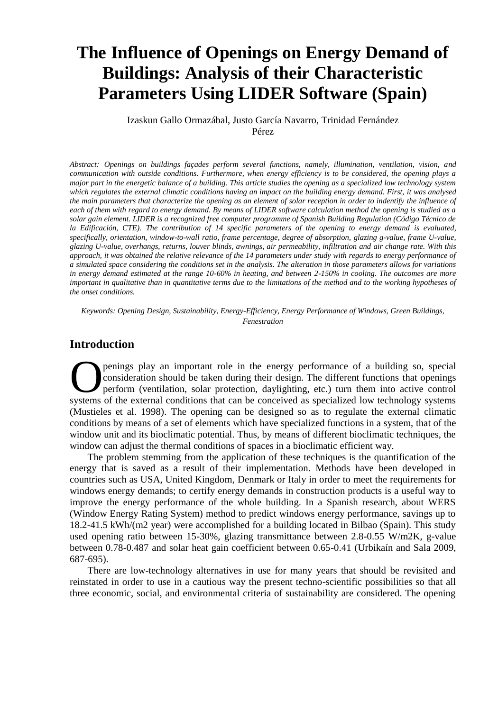# **The Influence of Openings on Energy Demand of Buildings: Analysis of their Characteristic Parameters Using LIDER Software (Spain)**

Izaskun Gallo Ormazábal, Justo García Navarro, Trinidad Fernández Pérez

*Abstract: Openings on buildings façades perform several functions, namely, illumination, ventilation, vision, and communication with outside conditions. Furthermore, when energy efficiency is to be considered, the opening plays a major part in the energetic balance of a building. This article studies the opening as a specialized low technology system which regulates the external climatic conditions having an impact on the building energy demand. First, it was analysed the main parameters that characterize the opening as an element of solar reception in order to indentify the influence of each of them with regard to energy demand. By means of LIDER software calculation method the opening is studied as a solar gain element. LIDER is a recognized free computer programme of Spanish Building Regulation (Código Técnico de la Edificación, CTE). The contribution of 14 specific parameters of the opening to energy demand is evaluated, specifically, orientation, window-to-wall ratio, frame percentage, degree of absorption, glazing g-value, frame U-value, glazing U-value, overhangs, returns, louver blinds, awnings, air permeability, infiltration and air change rate. With this approach, it was obtained the relative relevance of the 14 parameters under study with regards to energy performance of a simulated space considering the conditions set in the analysis. The alteration in those parameters allows for variations in energy demand estimated at the range 10-60% in heating, and between 2-150% in cooling. The outcomes are more important in qualitative than in quantitative terms due to the limitations of the method and to the working hypotheses of the onset conditions.* 

*Keywords: Opening Design, Sustainability, Energy-Efficiency, Energy Performance of Windows, Green Buildings, Fenestration* 

# **Introduction**

penings play an important role in the energy performance of a building so, special consideration should be taken during their design. The different functions that openings perform (ventilation, solar protection, daylighting, etc.) turn them into active control **O** penings play an important role in the energy performance of a building so, special consideration should be taken during their design. The different functions that openings perform (ventilation, solar protection, daylig (Mustieles et al. 1998). The opening can be designed so as to regulate the external climatic conditions by means of a set of elements which have specialized functions in a system, that of the window unit and its bioclimatic potential. Thus, by means of different bioclimatic techniques, the window can adjust the thermal conditions of spaces in a bioclimatic efficient way.

The problem stemming from the application of these techniques is the quantification of the energy that is saved as a result of their implementation. Methods have been developed in countries such as USA, United Kingdom, Denmark or Italy in order to meet the requirements for windows energy demands; to certify energy demands in construction products is a useful way to improve the energy performance of the whole building. In a Spanish research, about WERS (Window Energy Rating System) method to predict windows energy performance, savings up to 18.2-41.5 kWh/(m2 year) were accomplished for a building located in Bilbao (Spain). This study used opening ratio between 15-30%, glazing transmittance between 2.8-0.55 W/m2K, g-value between 0.78-0.487 and solar heat gain coefficient between 0.65-0.41 (Urbikaín and Sala 2009, 687-695).

There are low-technology alternatives in use for many years that should be revisited and reinstated in order to use in a cautious way the present techno-scientific possibilities so that all three economic, social, and environmental criteria of sustainability are considered. The opening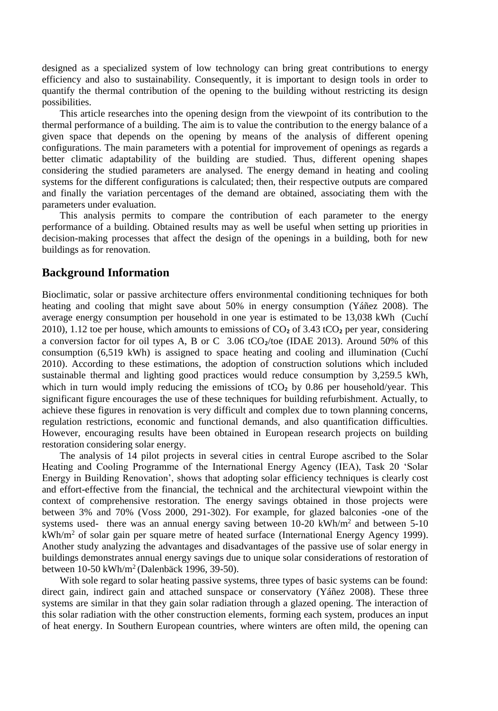designed as a specialized system of low technology can bring great contributions to energy efficiency and also to sustainability. Consequently, it is important to design tools in order to quantify the thermal contribution of the opening to the building without restricting its design possibilities.

This article researches into the opening design from the viewpoint of its contribution to the thermal performance of a building. The aim is to value the contribution to the energy balance of a given space that depends on the opening by means of the analysis of different opening configurations. The main parameters with a potential for improvement of openings as regards a better climatic adaptability of the building are studied. Thus, different opening shapes considering the studied parameters are analysed. The energy demand in heating and cooling systems for the different configurations is calculated; then, their respective outputs are compared and finally the variation percentages of the demand are obtained, associating them with the parameters under evaluation.

This analysis permits to compare the contribution of each parameter to the energy performance of a building. Obtained results may as well be useful when setting up priorities in decision-making processes that affect the design of the openings in a building, both for new buildings as for renovation.

## **Background Information**

Bioclimatic, solar or passive architecture offers environmental conditioning techniques for both heating and cooling that might save about 50% in energy consumption (Yáñez 2008). The average energy consumption per household in one year is estimated to be 13,038 kWh (Cuchí 2010), 1.12 toe per house, which amounts to emissions of  $CO<sub>2</sub>$  of 3.43 tCO<sub>2</sub> per year, considering a conversion factor for oil types A, B or C 3.06 tCO₂/toe (IDAE 2013). Around 50% of this consumption (6,519 kWh) is assigned to space heating and cooling and illumination (Cuchí 2010). According to these estimations, the adoption of construction solutions which included sustainable thermal and lighting good practices would reduce consumption by 3,259.5 kWh, which in turn would imply reducing the emissions of  $tCO<sub>2</sub>$  by 0.86 per household/year. This significant figure encourages the use of these techniques for building refurbishment. Actually, to achieve these figures in renovation is very difficult and complex due to town planning concerns, regulation restrictions, economic and functional demands, and also quantification difficulties. However, encouraging results have been obtained in European research projects on building restoration considering solar energy.

The analysis of 14 pilot projects in several cities in central Europe ascribed to the Solar Heating and Cooling Programme of the International Energy Agency (IEA), Task 20 'Solar Energy in Building Renovation', shows that adopting solar efficiency techniques is clearly cost and effort-effective from the financial, the technical and the architectural viewpoint within the context of comprehensive restoration. The energy savings obtained in those projects were between 3% and 70% (Voss 2000, 291-302). For example, for glazed balconies -one of the systems used- there was an annual energy saving between  $10\n-20 \text{ kWh/m}^2$  and between 5-10 kWh/m<sup>2</sup> of solar gain per square metre of heated surface (International Energy Agency 1999). Another study analyzing the advantages and disadvantages of the passive use of solar energy in buildings demonstrates annual energy savings due to unique solar considerations of restoration of between 10-50 kWh/m<sup>2</sup>(Dalenbäck 1996, 39-50).

With sole regard to solar heating passive systems, three types of basic systems can be found: direct gain, indirect gain and attached sunspace or conservatory (Yáñez 2008). These three systems are similar in that they gain solar radiation through a glazed opening. The interaction of this solar radiation with the other construction elements, forming each system, produces an input of heat energy. In Southern European countries, where winters are often mild, the opening can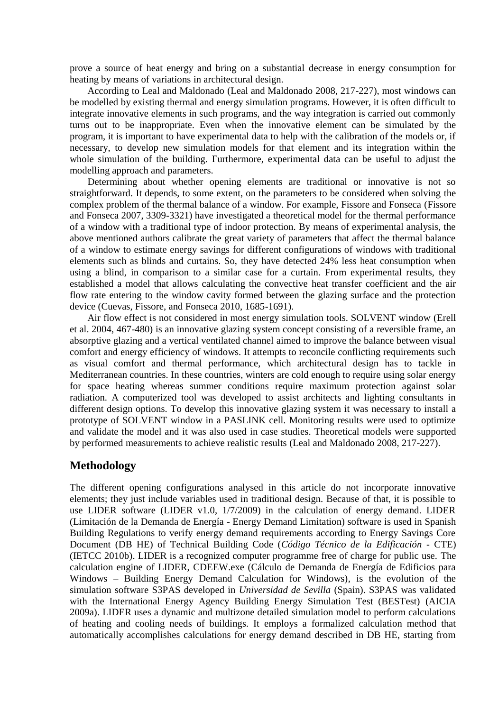prove a source of heat energy and bring on a substantial decrease in energy consumption for heating by means of variations in architectural design.

According to Leal and Maldonado (Leal and Maldonado 2008, 217-227), most windows can be modelled by existing thermal and energy simulation programs. However, it is often difficult to integrate innovative elements in such programs, and the way integration is carried out commonly turns out to be inappropriate. Even when the innovative element can be simulated by the program, it is important to have experimental data to help with the calibration of the models or, if necessary, to develop new simulation models for that element and its integration within the whole simulation of the building. Furthermore, experimental data can be useful to adjust the modelling approach and parameters.

Determining about whether opening elements are traditional or innovative is not so straightforward. It depends, to some extent, on the parameters to be considered when solving the complex problem of the thermal balance of a window. For example, Fissore and Fonseca (Fissore and Fonseca 2007, 3309-3321) have investigated a theoretical model for the thermal performance of a window with a traditional type of indoor protection. By means of experimental analysis, the above mentioned authors calibrate the great variety of parameters that affect the thermal balance of a window to estimate energy savings for different configurations of windows with traditional elements such as blinds and curtains. So, they have detected 24% less heat consumption when using a blind, in comparison to a similar case for a curtain. From experimental results, they established a model that allows calculating the convective heat transfer coefficient and the air flow rate entering to the window cavity formed between the glazing surface and the protection device (Cuevas, Fissore, and Fonseca 2010, 1685-1691).

Air flow effect is not considered in most energy simulation tools. SOLVENT window (Erell et al. 2004, 467-480) is an innovative glazing system concept consisting of a reversible frame, an absorptive glazing and a vertical ventilated channel aimed to improve the balance between visual comfort and energy efficiency of windows. It attempts to reconcile conflicting requirements such as visual comfort and thermal performance, which architectural design has to tackle in Mediterranean countries. In these countries, winters are cold enough to require using solar energy for space heating whereas summer conditions require maximum protection against solar radiation. A computerized tool was developed to assist architects and lighting consultants in different design options. To develop this innovative glazing system it was necessary to install a prototype of SOLVENT window in a PASLINK cell. Monitoring results were used to optimize and validate the model and it was also used in case studies. Theoretical models were supported by performed measurements to achieve realistic results (Leal and Maldonado 2008, 217-227).

# **Methodology**

The different opening configurations analysed in this article do not incorporate innovative elements; they just include variables used in traditional design. Because of that, it is possible to use LIDER software (LIDER v1.0, 1/7/2009) in the calculation of energy demand. LIDER (Limitación de la Demanda de Energía - Energy Demand Limitation) software is used in Spanish Building Regulations to verify energy demand requirements according to Energy Savings Core Document (DB HE) of Technical Building Code (*Código Técnico de la Edificación* - CTE) (IETCC 2010b). LIDER is a recognized computer programme free of charge for public use. The calculation engine of LIDER, CDEEW.exe (Cálculo de Demanda de Energía de Edificios para Windows – Building Energy Demand Calculation for Windows), is the evolution of the simulation software S3PAS developed in *Universidad de Sevilla* (Spain). S3PAS was validated with the International Energy Agency Building Energy Simulation Test (BESTest) (AICIA 2009a). LIDER uses a dynamic and multizone detailed simulation model to perform calculations of heating and cooling needs of buildings. It employs a formalized calculation method that automatically accomplishes calculations for energy demand described in DB HE, starting from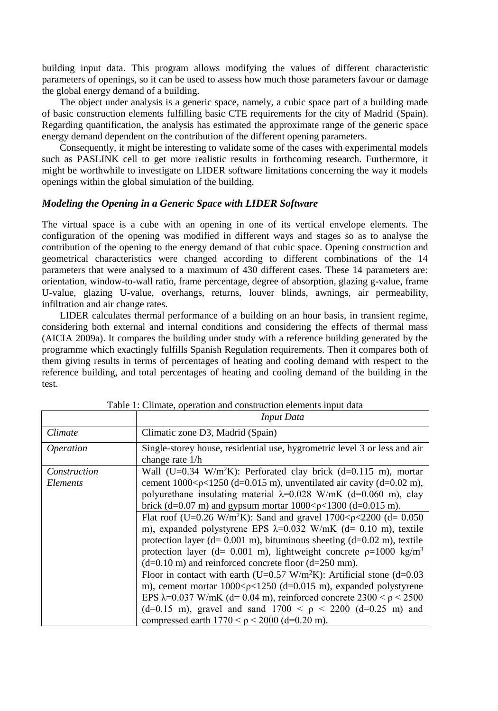building input data. This program allows modifying the values of different characteristic parameters of openings, so it can be used to assess how much those parameters favour or damage the global energy demand of a building.

The object under analysis is a generic space, namely, a cubic space part of a building made of basic construction elements fulfilling basic CTE requirements for the city of Madrid (Spain). Regarding quantification, the analysis has estimated the approximate range of the generic space energy demand dependent on the contribution of the different opening parameters.

Consequently, it might be interesting to validate some of the cases with experimental models such as PASLINK cell to get more realistic results in forthcoming research. Furthermore, it might be worthwhile to investigate on LIDER software limitations concerning the way it models openings within the global simulation of the building.

## *Modeling the Opening in a Generic Space with LIDER Software*

The virtual space is a cube with an opening in one of its vertical envelope elements. The configuration of the opening was modified in different ways and stages so as to analyse the contribution of the opening to the energy demand of that cubic space. Opening construction and geometrical characteristics were changed according to different combinations of the 14 parameters that were analysed to a maximum of 430 different cases. These 14 parameters are: orientation, window-to-wall ratio, frame percentage, degree of absorption, glazing g-value, frame U-value, glazing U-value, overhangs, returns, louver blinds, awnings, air permeability, infiltration and air change rates.

LIDER calculates thermal performance of a building on an hour basis, in transient regime, considering both external and internal conditions and considering the effects of thermal mass (AICIA 2009a). It compares the building under study with a reference building generated by the programme which exactingly fulfills Spanish Regulation requirements. Then it compares both of them giving results in terms of percentages of heating and cooling demand with respect to the reference building, and total percentages of heating and cooling demand of the building in the test.

|                          | <b>Input Data</b>                                                                                                                                                                                                                                                                                                                                                                                                                                                                                                                                                                                                                                                                                                        |
|--------------------------|--------------------------------------------------------------------------------------------------------------------------------------------------------------------------------------------------------------------------------------------------------------------------------------------------------------------------------------------------------------------------------------------------------------------------------------------------------------------------------------------------------------------------------------------------------------------------------------------------------------------------------------------------------------------------------------------------------------------------|
| Climate                  | Climatic zone D3, Madrid (Spain)                                                                                                                                                                                                                                                                                                                                                                                                                                                                                                                                                                                                                                                                                         |
| <i>Operation</i>         | Single-storey house, residential use, hygrometric level 3 or less and air<br>change rate $1/h$                                                                                                                                                                                                                                                                                                                                                                                                                                                                                                                                                                                                                           |
| Construction<br>Elements | Wall (U=0.34 W/m <sup>2</sup> K): Perforated clay brick (d=0.115 m), mortar<br>cement $1000 < p < 1250$ (d=0.015 m), unventilated air cavity (d=0.02 m),<br>polyurethane insulating material $\lambda$ =0.028 W/mK (d=0.060 m), clay<br>brick (d=0.07 m) and gypsum mortar $1000 < p < 1300$ (d=0.015 m).<br>Flat roof (U=0.26 W/m <sup>2</sup> K): Sand and gravel $1700 < \rho < 2200$ (d= 0.050<br>m), expanded polystyrene EPS $\lambda$ =0.032 W/mK (d= 0.10 m), textile<br>protection layer ( $d=0.001$ m), bituminous sheeting ( $d=0.02$ m), textile<br>protection layer (d= 0.001 m), lightweight concrete $p=1000 \text{ kg/m}^3$<br>$(d=0.10 \text{ m})$ and reinforced concrete floor $(d=250 \text{ mm})$ . |
|                          | Floor in contact with earth (U=0.57 W/m <sup>2</sup> K): Artificial stone (d=0.03<br>m), cement mortar $1000 < p < 1250$ (d=0.015 m), expanded polystyrene<br>EPS $\lambda$ =0.037 W/mK (d= 0.04 m), reinforced concrete 2300 < $\rho$ < 2500<br>(d=0.15 m), gravel and sand $1700 < \rho < 2200$ (d=0.25 m) and<br>compressed earth $1770 < \rho < 2000$ (d=0.20 m).                                                                                                                                                                                                                                                                                                                                                    |

Table 1: Climate, operation and construction elements input data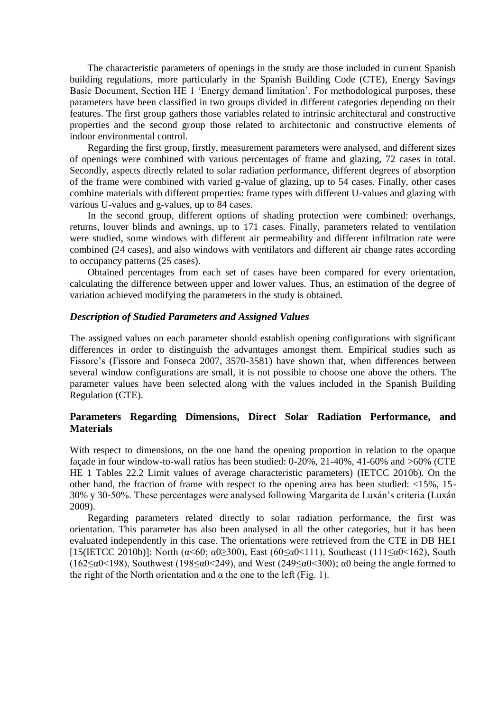The characteristic parameters of openings in the study are those included in current Spanish building regulations, more particularly in the Spanish Building Code (CTE), Energy Savings Basic Document, Section HE 1 'Energy demand limitation'. For methodological purposes, these parameters have been classified in two groups divided in different categories depending on their features. The first group gathers those variables related to intrinsic architectural and constructive properties and the second group those related to architectonic and constructive elements of indoor environmental control.

Regarding the first group, firstly, measurement parameters were analysed, and different sizes of openings were combined with various percentages of frame and glazing, 72 cases in total. Secondly, aspects directly related to solar radiation performance, different degrees of absorption of the frame were combined with varied g-value of glazing, up to 54 cases. Finally, other cases combine materials with different properties: frame types with different U-values and glazing with various U-values and g-values, up to 84 cases.

In the second group, different options of shading protection were combined: overhangs, returns, louver blinds and awnings, up to 171 cases. Finally, parameters related to ventilation were studied, some windows with different air permeability and different infiltration rate were combined (24 cases), and also windows with ventilators and different air change rates according to occupancy patterns (25 cases).

Obtained percentages from each set of cases have been compared for every orientation, calculating the difference between upper and lower values. Thus, an estimation of the degree of variation achieved modifying the parameters in the study is obtained.

### *Description of Studied Parameters and Assigned Values*

The assigned values on each parameter should establish opening configurations with significant differences in order to distinguish the advantages amongst them. Empirical studies such as Fissore's (Fissore and Fonseca 2007, 3570-3581) have shown that, when differences between several window configurations are small, it is not possible to choose one above the others. The parameter values have been selected along with the values included in the Spanish Building Regulation (CTE).

# **Parameters Regarding Dimensions, Direct Solar Radiation Performance, and Materials**

With respect to dimensions, on the one hand the opening proportion in relation to the opaque facade in four window-to-wall ratios has been studied:  $0\n-20\%$ ,  $21\n-40\%$ ,  $41\n-60\%$  and  $>60\%$  (CTE HE 1 Tables 22.2 Limit values of average characteristic parameters) (IETCC 2010b). On the other hand, the fraction of frame with respect to the opening area has been studied: <15%, 15- 30% y 30-50%. These percentages were analysed following Margarita de Luxán's criteria (Luxán 2009).

Regarding parameters related directly to solar radiation performance, the first was orientation. This parameter has also been analysed in all the other categories, but it has been evaluated independently in this case. The orientations were retrieved from the CTE in DB HE1 [15(IETCC 2010b)]: North ( $\alpha$ <60;  $\alpha$ 0≥300), East (60≤ $\alpha$ 0<111), Southeast (111≤ $\alpha$ 0<162), South ( $162 \le \alpha$ 0<198), Southwest ( $198 \le \alpha$ 0<249), and West ( $249 \le \alpha$ 0<300);  $\alpha$ 0 being the angle formed to the right of the North orientation and  $\alpha$  the one to the left (Fig. 1).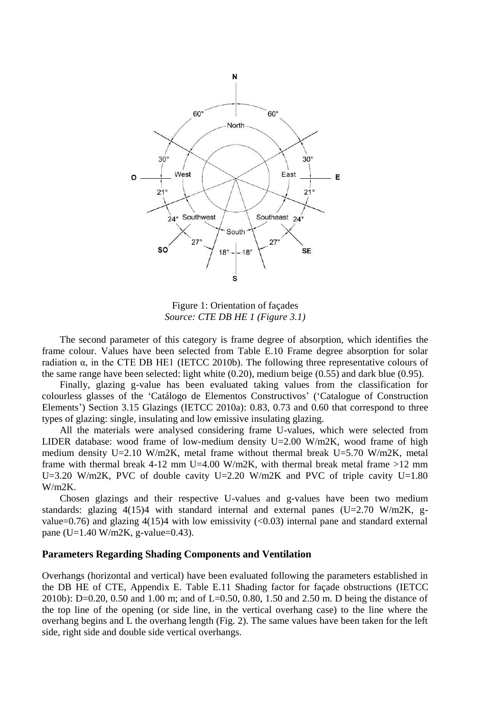

Figure 1: Orientation of façades *Source: CTE DB HE 1 (Figure 3.1)* 

The second parameter of this category is frame degree of absorption, which identifies the frame colour. Values have been selected from Table E.10 Frame degree absorption for solar radiation  $α$ , in the CTE DB HE1 (IETCC 2010b). The following three representative colours of the same range have been selected: light white (0.20), medium beige (0.55) and dark blue (0.95).

Finally, glazing g-value has been evaluated taking values from the classification for colourless glasses of the 'Catálogo de Elementos Constructivos' ('Catalogue of Construction Elements') Section 3.15 Glazings (IETCC 2010a): 0.83, 0.73 and 0.60 that correspond to three types of glazing: single, insulating and low emissive insulating glazing.

All the materials were analysed considering frame U-values, which were selected from LIDER database: wood frame of low-medium density  $U=2.00 \text{ W/m2K}$ , wood frame of high medium density U=2.10 W/m2K, metal frame without thermal break U=5.70 W/m2K, metal frame with thermal break 4-12 mm U=4.00 W/m2K, with thermal break metal frame  $>12$  mm U=3.20 W/m2K, PVC of double cavity U=2.20 W/m2K and PVC of triple cavity U=1.80 W/m2K.

Chosen glazings and their respective U-values and g-values have been two medium standards: glazing  $4(15)4$  with standard internal and external panes (U=2.70 W/m2K, gvalue=0.76) and glazing  $4(15)4$  with low emissivity ( $\leq 0.03$ ) internal pane and standard external pane (U=1.40 W/m2K, g-value=0.43).

#### **Parameters Regarding Shading Components and Ventilation**

Overhangs (horizontal and vertical) have been evaluated following the parameters established in the DB HE of CTE, Appendix E. Table E.11 Shading factor for façade obstructions (IETCC 2010b): D=0.20, 0.50 and 1.00 m; and of L=0.50, 0.80, 1.50 and 2.50 m. D being the distance of the top line of the opening (or side line, in the vertical overhang case) to the line where the overhang begins and L the overhang length (Fig. 2). The same values have been taken for the left side, right side and double side vertical overhangs.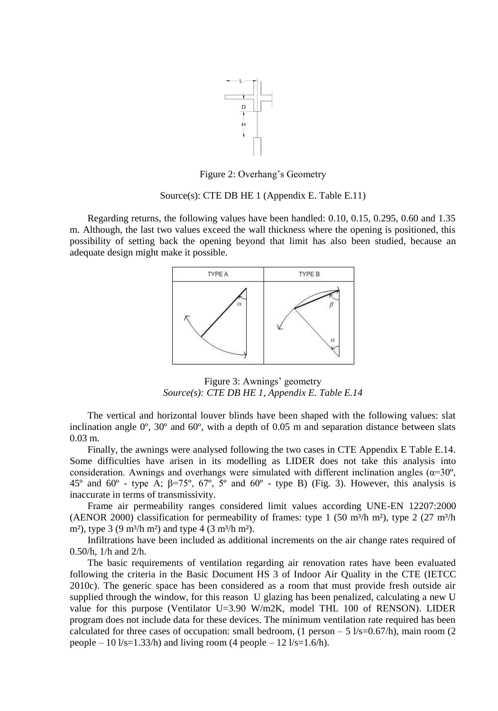

Figure 2: Overhang's Geometry

Source(s): CTE DB HE 1 (Appendix E. Table E.11)

Regarding returns, the following values have been handled: 0.10, 0.15, 0.295, 0.60 and 1.35 m. Although, the last two values exceed the wall thickness where the opening is positioned, this possibility of setting back the opening beyond that limit has also been studied, because an adequate design might make it possible.



Figure 3: Awnings' geometry *Source(s): CTE DB HE 1, Appendix E. Table E.14* 

The vertical and horizontal louver blinds have been shaped with the following values: slat inclination angle  $0^\circ$ ,  $30^\circ$  and  $60^\circ$ , with a depth of 0.05 m and separation distance between slats 0.03 m.

Finally, the awnings were analysed following the two cases in CTE Appendix E Table E.14. Some difficulties have arisen in its modelling as LIDER does not take this analysis into consideration. Awnings and overhangs were simulated with different inclination angles  $(\alpha=30^{\circ})$ , 45° and 60° - type A;  $β=75°$ , 67°, 5° and 60° - type B) (Fig. 3). However, this analysis is inaccurate in terms of transmissivity.

Frame air permeability ranges considered limit values according UNE-EN 12207:2000 (AENOR 2000) classification for permeability of frames: type 1 (50 m<sup>3</sup>/h m<sup>2</sup>), type 2 (27 m<sup>3</sup>/h m<sup>2</sup>), type 3 (9 m<sup>3</sup>/h m<sup>2</sup>) and type 4 (3 m<sup>3</sup>/h m<sup>2</sup>).

Infiltrations have been included as additional increments on the air change rates required of 0.50/h, 1/h and 2/h.

The basic requirements of ventilation regarding air renovation rates have been evaluated following the criteria in the Basic Document HS 3 of Indoor Air Quality in the CTE (IETCC 2010c). The generic space has been considered as a room that must provide fresh outside air supplied through the window, for this reason U glazing has been penalized, calculating a new U value for this purpose (Ventilator U=3.90 W/m2K, model THL 100 of RENSON). LIDER program does not include data for these devices. The minimum ventilation rate required has been calculated for three cases of occupation: small bedroom,  $(1 \text{ person} - 5 \text{ l/s} = 0.67/h)$ , main room  $(2 \text{ l/s} = 0.67/h)$ people – 10  $1/s = 1.33/h$ ) and living room (4 people – 12  $1/s = 1.6/h$ ).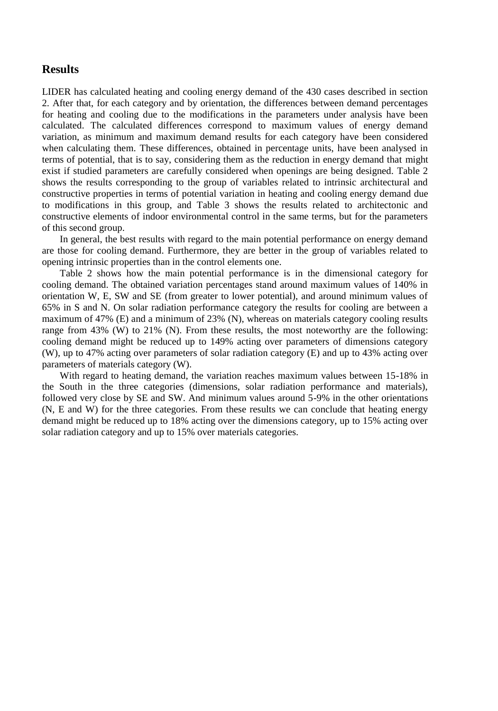## **Results**

LIDER has calculated heating and cooling energy demand of the 430 cases described in section 2. After that, for each category and by orientation, the differences between demand percentages for heating and cooling due to the modifications in the parameters under analysis have been calculated. The calculated differences correspond to maximum values of energy demand variation, as minimum and maximum demand results for each category have been considered when calculating them. These differences, obtained in percentage units, have been analysed in terms of potential, that is to say, considering them as the reduction in energy demand that might exist if studied parameters are carefully considered when openings are being designed. Table 2 shows the results corresponding to the group of variables related to intrinsic architectural and constructive properties in terms of potential variation in heating and cooling energy demand due to modifications in this group, and Table 3 shows the results related to architectonic and constructive elements of indoor environmental control in the same terms, but for the parameters of this second group.

In general, the best results with regard to the main potential performance on energy demand are those for cooling demand. Furthermore, they are better in the group of variables related to opening intrinsic properties than in the control elements one.

Table 2 shows how the main potential performance is in the dimensional category for cooling demand. The obtained variation percentages stand around maximum values of 140% in orientation W, E, SW and SE (from greater to lower potential), and around minimum values of 65% in S and N. On solar radiation performance category the results for cooling are between a maximum of 47% (E) and a minimum of 23% (N), whereas on materials category cooling results range from 43% (W) to 21% (N). From these results, the most noteworthy are the following: cooling demand might be reduced up to 149% acting over parameters of dimensions category (W), up to 47% acting over parameters of solar radiation category (E) and up to 43% acting over parameters of materials category (W).

With regard to heating demand, the variation reaches maximum values between 15-18% in the South in the three categories (dimensions, solar radiation performance and materials), followed very close by SE and SW. And minimum values around 5-9% in the other orientations (N, E and W) for the three categories. From these results we can conclude that heating energy demand might be reduced up to 18% acting over the dimensions category, up to 15% acting over solar radiation category and up to 15% over materials categories.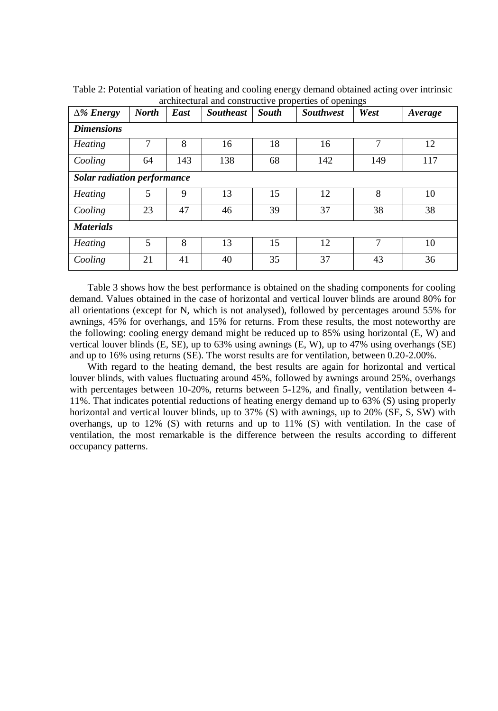| $\Delta$ % Energy           | <b>North</b> | East | <b>Southeast</b> | <b>South</b> | <b>Southwest</b> | West | Average |
|-----------------------------|--------------|------|------------------|--------------|------------------|------|---------|
| <b>Dimensions</b>           |              |      |                  |              |                  |      |         |
| <b>Heating</b>              | 7            | 8    | 16               | 18           | 16               | 7    | 12      |
| Cooling                     | 64           | 143  | 138              | 68           | 142              | 149  | 117     |
| Solar radiation performance |              |      |                  |              |                  |      |         |
| <b>Heating</b>              | 5            | 9    | 13               | 15           | 12               | 8    | 10      |
| Cooling                     | 23           | 47   | 46               | 39           | 37               | 38   | 38      |
| <b>Materials</b>            |              |      |                  |              |                  |      |         |
| <b>Heating</b>              | 5            | 8    | 13               | 15           | 12               | 7    | 10      |
| Cooling                     | 21           | 41   | 40               | 35           | 37               | 43   | 36      |

Table 2: Potential variation of heating and cooling energy demand obtained acting over intrinsic architectural and constructive properties of openings

Table 3 shows how the best performance is obtained on the shading components for cooling demand. Values obtained in the case of horizontal and vertical louver blinds are around 80% for all orientations (except for N, which is not analysed), followed by percentages around 55% for awnings, 45% for overhangs, and 15% for returns. From these results, the most noteworthy are the following: cooling energy demand might be reduced up to 85% using horizontal (E, W) and vertical louver blinds (E, SE), up to 63% using awnings (E, W), up to 47% using overhangs (SE) and up to 16% using returns (SE). The worst results are for ventilation, between 0.20-2.00%.

With regard to the heating demand, the best results are again for horizontal and vertical louver blinds, with values fluctuating around 45%, followed by awnings around 25%, overhangs with percentages between 10-20%, returns between 5-12%, and finally, ventilation between 4- 11%. That indicates potential reductions of heating energy demand up to 63% (S) using properly horizontal and vertical louver blinds, up to 37% (S) with awnings, up to 20% (SE, S, SW) with overhangs, up to 12% (S) with returns and up to 11% (S) with ventilation. In the case of ventilation, the most remarkable is the difference between the results according to different occupancy patterns.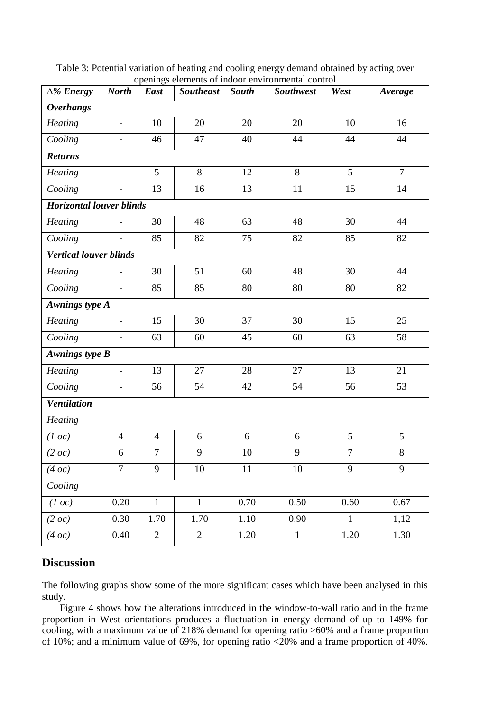| $\Delta$ % Energy               | <b>North</b>   | East            | <b>Southeast</b> | South             | openings elements of muoor environmental control<br><b>Southwest</b> | West            | Average         |  |  |  |  |
|---------------------------------|----------------|-----------------|------------------|-------------------|----------------------------------------------------------------------|-----------------|-----------------|--|--|--|--|
| <b>Overhangs</b>                |                |                 |                  |                   |                                                                      |                 |                 |  |  |  |  |
| <b>Heating</b>                  | $\frac{1}{2}$  | 10              | 20               | 20                | 20                                                                   | 10              | 16              |  |  |  |  |
| $\overline{Co}$ oling           | $\blacksquare$ | 46              | 47               | 40                | 44                                                                   | 44              | 44              |  |  |  |  |
| <b>Returns</b>                  |                |                 |                  |                   |                                                                      |                 |                 |  |  |  |  |
| <b>Heating</b>                  | $\overline{a}$ | $\overline{5}$  | $\overline{8}$   | 12                | $\overline{8}$                                                       | $\overline{5}$  | $\overline{7}$  |  |  |  |  |
| Cooling                         | ÷,             | $\overline{13}$ | 16               | 13                | 11                                                                   | 15              | 14              |  |  |  |  |
| <b>Horizontal louver blinds</b> |                |                 |                  |                   |                                                                      |                 |                 |  |  |  |  |
| Heating                         |                | 30              | 48               | 63                | 48                                                                   | 30              | 44              |  |  |  |  |
| Cooling                         |                | 85              | 82               | 75                | 82                                                                   | 85              | $\overline{82}$ |  |  |  |  |
| <b>Vertical louver blinds</b>   |                |                 |                  |                   |                                                                      |                 |                 |  |  |  |  |
| Heating                         |                | 30              | 51               | 60                | 48                                                                   | 30              | 44              |  |  |  |  |
| Cooling                         | $\overline{a}$ | 85              | 85               | 80                | 80                                                                   | 80              | 82              |  |  |  |  |
| <b>Awnings type A</b>           |                |                 |                  |                   |                                                                      |                 |                 |  |  |  |  |
| <b>Heating</b>                  | $\overline{a}$ | 15              | $\overline{30}$  | $\overline{37}$   | $\overline{30}$                                                      | 15              | $\overline{25}$ |  |  |  |  |
| Cooling                         | ÷,             | $\overline{63}$ | 60               | $\overline{45}$   | 60                                                                   | $\overline{63}$ | $\overline{58}$ |  |  |  |  |
| <b>Awnings type B</b>           |                |                 |                  |                   |                                                                      |                 |                 |  |  |  |  |
| <b>Heating</b>                  | ÷,             | 13              | 27               | 28                | $\overline{27}$                                                      | 13              | $\overline{21}$ |  |  |  |  |
| Cooling                         | ÷,             | $\overline{56}$ | $\overline{54}$  | $\overline{42}$   | $\overline{54}$                                                      | $\overline{56}$ | $\overline{53}$ |  |  |  |  |
| Ventilation                     |                |                 |                  |                   |                                                                      |                 |                 |  |  |  |  |
| <b>Heating</b>                  |                |                 |                  |                   |                                                                      |                 |                 |  |  |  |  |
| (1 oc)                          | $\overline{4}$ | $\overline{4}$  | $\epsilon$       | 6                 | 6                                                                    | 5               | 5               |  |  |  |  |
| (2 oc)                          | $\overline{6}$ | $\overline{7}$  | $\overline{9}$   | $\overline{10}$   | $\overline{9}$                                                       | $\overline{7}$  | $\overline{8}$  |  |  |  |  |
| (4 oc)                          | $\overline{7}$ | 9               | 10               | 11                | 10                                                                   | $\overline{9}$  | $\overline{9}$  |  |  |  |  |
| Cooling                         |                |                 |                  |                   |                                                                      |                 |                 |  |  |  |  |
| (1 oc)                          | 0.20           | $\mathbf{1}$    | $\mathbf{1}$     | 0.70              | 0.50                                                                 | 0.60            | 0.67            |  |  |  |  |
| (2 oc)                          | 0.30           | 1.70            | 1.70             | $\overline{1.10}$ | 0.90                                                                 | $\mathbf{1}$    | 1,12            |  |  |  |  |
| $\overline{(4\text{ }oc)}$      | 0.40           | $\overline{2}$  | $\overline{c}$   | 1.20              | $\mathbf{1}$                                                         | 1.20            | 1.30            |  |  |  |  |

Table 3: Potential variation of heating and cooling energy demand obtained by acting over openings elements of indoor environmental control

# **Discussion**

The following graphs show some of the more significant cases which have been analysed in this study.

Figure 4 shows how the alterations introduced in the window-to-wall ratio and in the frame proportion in West orientations produces a fluctuation in energy demand of up to 149% for cooling, with a maximum value of 218% demand for opening ratio >60% and a frame proportion of 10%; and a minimum value of 69%, for opening ratio  $\langle 20\%$  and a frame proportion of 40%.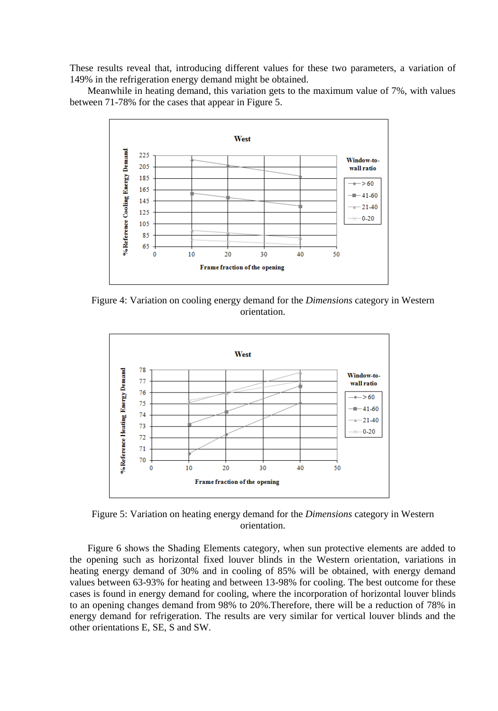These results reveal that, introducing different values for these two parameters, a variation of 149% in the refrigeration energy demand might be obtained.

Meanwhile in heating demand, this variation gets to the maximum value of 7%, with values between 71-78% for the cases that appear in Figure 5.



Figure 4: Variation on cooling energy demand for the *Dimensions* category in Western orientation.



Figure 5: Variation on heating energy demand for the *Dimensions* category in Western orientation.

Figure 6 shows the Shading Elements category, when sun protective elements are added to the opening such as horizontal fixed louver blinds in the Western orientation, variations in heating energy demand of 30% and in cooling of 85% will be obtained, with energy demand values between 63-93% for heating and between 13-98% for cooling. The best outcome for these cases is found in energy demand for cooling, where the incorporation of horizontal louver blinds to an opening changes demand from 98% to 20%.Therefore, there will be a reduction of 78% in energy demand for refrigeration. The results are very similar for vertical louver blinds and the other orientations E, SE, S and SW.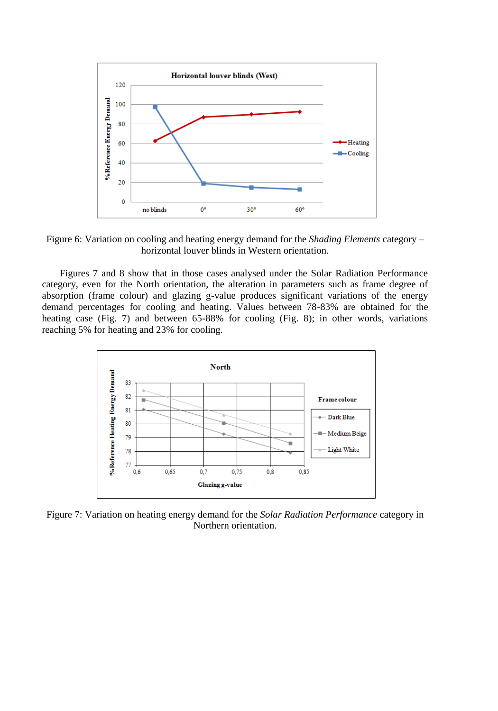

Figure 6: Variation on cooling and heating energy demand for the *Shading Elements* category – horizontal louver blinds in Western orientation.

Figures 7 and 8 show that in those cases analysed under the Solar Radiation Performance category, even for the North orientation, the alteration in parameters such as frame degree of absorption (frame colour) and glazing g-value produces significant variations of the energy demand percentages for cooling and heating. Values between 78-83% are obtained for the heating case (Fig. 7) and between 65-88% for cooling (Fig. 8); in other words, variations reaching 5% for heating and 23% for cooling.



Figure 7: Variation on heating energy demand for the *Solar Radiation Performance* category in Northern orientation.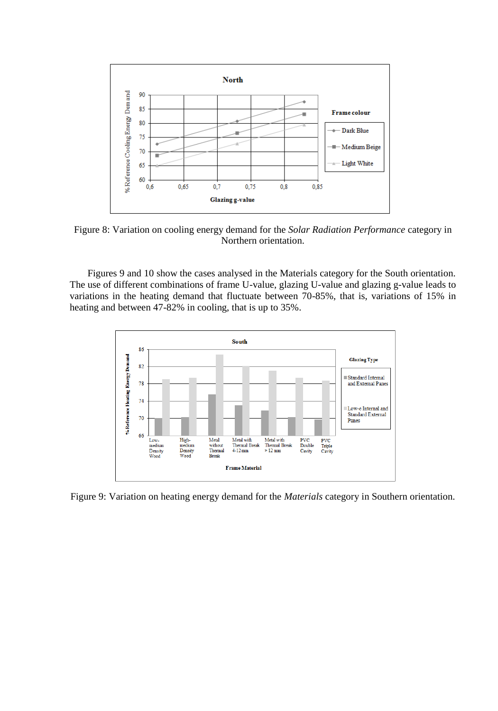

Figure 8: Variation on cooling energy demand for the *Solar Radiation Performance* category in Northern orientation.

Figures 9 and 10 show the cases analysed in the Materials category for the South orientation. The use of different combinations of frame U-value, glazing U-value and glazing g-value leads to variations in the heating demand that fluctuate between 70-85%, that is, variations of 15% in heating and between 47-82% in cooling, that is up to 35%.



Figure 9: Variation on heating energy demand for the *Materials* category in Southern orientation.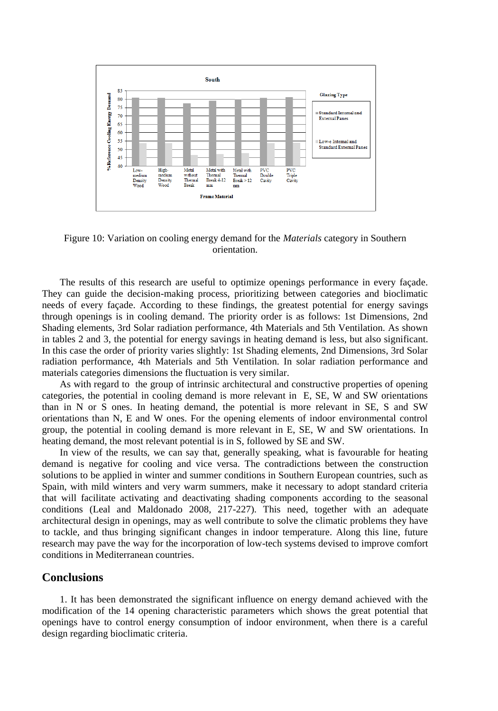

Figure 10: Variation on cooling energy demand for the *Materials* category in Southern orientation.

The results of this research are useful to optimize openings performance in every façade. They can guide the decision-making process, prioritizing between categories and bioclimatic needs of every façade. According to these findings, the greatest potential for energy savings through openings is in cooling demand. The priority order is as follows: 1st Dimensions, 2nd Shading elements, 3rd Solar radiation performance, 4th Materials and 5th Ventilation. As shown in tables 2 and 3, the potential for energy savings in heating demand is less, but also significant. In this case the order of priority varies slightly: 1st Shading elements, 2nd Dimensions, 3rd Solar radiation performance, 4th Materials and 5th Ventilation. In solar radiation performance and materials categories dimensions the fluctuation is very similar.

As with regard to the group of intrinsic architectural and constructive properties of opening categories, the potential in cooling demand is more relevant in E, SE, W and SW orientations than in N or S ones. In heating demand, the potential is more relevant in SE, S and SW orientations than N, E and W ones. For the opening elements of indoor environmental control group, the potential in cooling demand is more relevant in E, SE, W and SW orientations. In heating demand, the most relevant potential is in S, followed by SE and SW.

In view of the results, we can say that, generally speaking, what is favourable for heating demand is negative for cooling and vice versa. The contradictions between the construction solutions to be applied in winter and summer conditions in Southern European countries, such as Spain, with mild winters and very warm summers, make it necessary to adopt standard criteria that will facilitate activating and deactivating shading components according to the seasonal conditions (Leal and Maldonado 2008, 217-227). This need, together with an adequate architectural design in openings, may as well contribute to solve the climatic problems they have to tackle, and thus bringing significant changes in indoor temperature. Along this line, future research may pave the way for the incorporation of low-tech systems devised to improve comfort conditions in Mediterranean countries.

# **Conclusions**

1. It has been demonstrated the significant influence on energy demand achieved with the modification of the 14 opening characteristic parameters which shows the great potential that openings have to control energy consumption of indoor environment, when there is a careful design regarding bioclimatic criteria.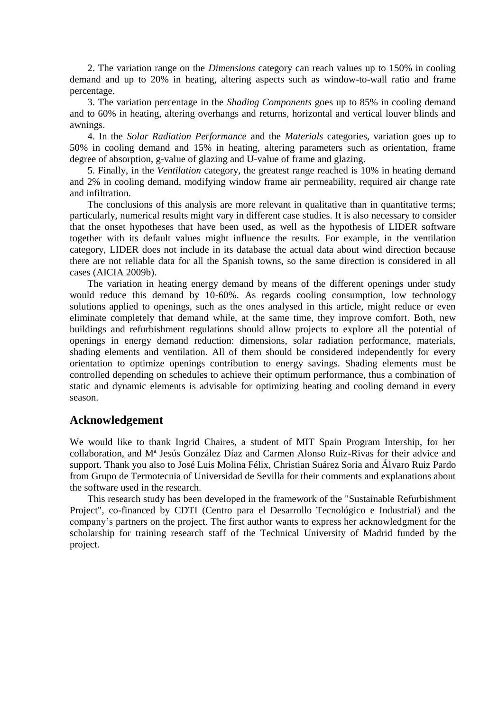2. The variation range on the *Dimensions* category can reach values up to 150% in cooling demand and up to 20% in heating, altering aspects such as window-to-wall ratio and frame percentage.

3. The variation percentage in the *Shading Components* goes up to 85% in cooling demand and to 60% in heating, altering overhangs and returns, horizontal and vertical louver blinds and awnings.

4. In the *Solar Radiation Performance* and the *Materials* categories, variation goes up to 50% in cooling demand and 15% in heating, altering parameters such as orientation, frame degree of absorption, g-value of glazing and U-value of frame and glazing.

5. Finally, in the *Ventilation* category, the greatest range reached is 10% in heating demand and 2% in cooling demand, modifying window frame air permeability, required air change rate and infiltration.

The conclusions of this analysis are more relevant in qualitative than in quantitative terms; particularly, numerical results might vary in different case studies. It is also necessary to consider that the onset hypotheses that have been used, as well as the hypothesis of LIDER software together with its default values might influence the results. For example, in the ventilation category, LIDER does not include in its database the actual data about wind direction because there are not reliable data for all the Spanish towns, so the same direction is considered in all cases (AICIA 2009b).

The variation in heating energy demand by means of the different openings under study would reduce this demand by 10-60%. As regards cooling consumption, low technology solutions applied to openings, such as the ones analysed in this article, might reduce or even eliminate completely that demand while, at the same time, they improve comfort. Both, new buildings and refurbishment regulations should allow projects to explore all the potential of openings in energy demand reduction: dimensions, solar radiation performance, materials, shading elements and ventilation. All of them should be considered independently for every orientation to optimize openings contribution to energy savings. Shading elements must be controlled depending on schedules to achieve their optimum performance, thus a combination of static and dynamic elements is advisable for optimizing heating and cooling demand in every season.

## **Acknowledgement**

We would like to thank Ingrid Chaires, a student of MIT Spain Program Intership, for her collaboration, and Mª Jesús González Díaz and Carmen Alonso Ruiz-Rivas for their advice and support. Thank you also to José Luis Molina Félix, Christian Suárez Soria and Álvaro Ruiz Pardo from Grupo de Termotecnia of Universidad de Sevilla for their comments and explanations about the software used in the research.

This research study has been developed in the framework of the "Sustainable Refurbishment Project", co-financed by CDTI (Centro para el Desarrollo Tecnológico e Industrial) and the company's partners on the project. The first author wants to express her acknowledgment for the scholarship for training research staff of the Technical University of Madrid funded by the project.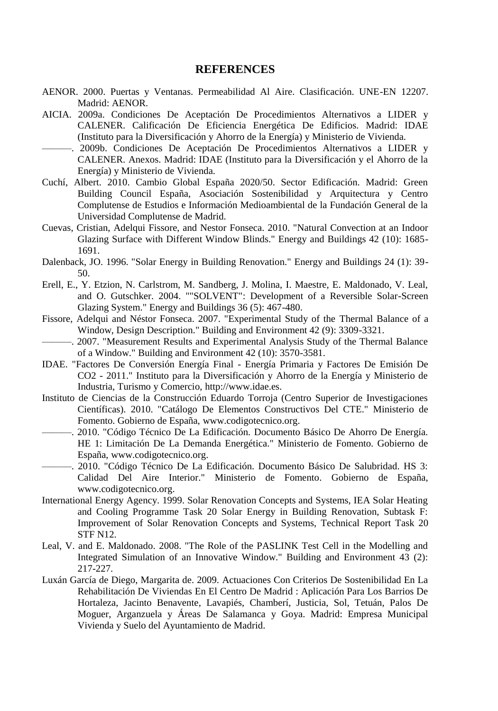## **REFERENCES**

- AENOR. 2000. Puertas y Ventanas. Permeabilidad Al Aire. Clasificación. UNE-EN 12207. Madrid: AENOR.
- AICIA. 2009a. Condiciones De Aceptación De Procedimientos Alternativos a LIDER y CALENER. Calificación De Eficiencia Energética De Edificios. Madrid: IDAE (Instituto para la Diversificación y Ahorro de la Energía) y Ministerio de Vivienda.
- ———. 2009b. Condiciones De Aceptación De Procedimientos Alternativos a LIDER y CALENER. Anexos. Madrid: IDAE (Instituto para la Diversificación y el Ahorro de la Energía) y Ministerio de Vivienda.
- Cuchí, Albert. 2010. Cambio Global España 2020/50. Sector Edificación. Madrid: Green Building Council España, Asociación Sostenibilidad y Arquitectura y Centro Complutense de Estudios e Información Medioambiental de la Fundación General de la Universidad Complutense de Madrid.
- Cuevas, Cristian, Adelqui Fissore, and Nestor Fonseca. 2010. "Natural Convection at an Indoor Glazing Surface with Different Window Blinds." Energy and Buildings 42 (10): 1685- 1691.
- Dalenback, JO. 1996. "Solar Energy in Building Renovation." Energy and Buildings 24 (1): 39- 50.
- Erell, E., Y. Etzion, N. Carlstrom, M. Sandberg, J. Molina, I. Maestre, E. Maldonado, V. Leal, and O. Gutschker. 2004. ""SOLVENT": Development of a Reversible Solar-Screen Glazing System." Energy and Buildings 36 (5): 467-480.
- Fissore, Adelqui and Néstor Fonseca. 2007. "Experimental Study of the Thermal Balance of a Window, Design Description." Building and Environment 42 (9): 3309-3321.
- ———. 2007. "Measurement Results and Experimental Analysis Study of the Thermal Balance of a Window." Building and Environment 42 (10): 3570-3581.
- IDAE. "Factores De Conversión Energía Final Energía Primaria y Factores De Emisión De CO2 - 2011." Instituto para la Diversificación y Ahorro de la Energía y Ministerio de Industria, Turismo y Comercio, [http://www.idae.es.](http://www.idae.es/)
- Instituto de Ciencias de la Construcción Eduardo Torroja (Centro Superior de Investigaciones Científicas). 2010. "Catálogo De Elementos Constructivos Del CTE." Ministerio de Fomento. Gobierno de España, [www.codigotecnico.org.](http://www.codigotecnico.org/)
- ———. 2010. "Código Técnico De La Edificación. Documento Básico De Ahorro De Energía. HE 1: Limitación De La Demanda Energética." Ministerio de Fomento. Gobierno de España, [www.codigotecnico.org.](http://www.codigotecnico.org/)
- ———. 2010. "Código Técnico De La Edificación. Documento Básico De Salubridad. HS 3: Calidad Del Aire Interior." Ministerio de Fomento. Gobierno de España, [www.codigotecnico.org.](http://www.codigotecnico.org/)
- International Energy Agency. 1999. Solar Renovation Concepts and Systems, IEA Solar Heating and Cooling Programme Task 20 Solar Energy in Building Renovation, Subtask F: Improvement of Solar Renovation Concepts and Systems, Technical Report Task 20 STF N12.
- Leal, V. and E. Maldonado. 2008. "The Role of the PASLINK Test Cell in the Modelling and Integrated Simulation of an Innovative Window." Building and Environment 43 (2): 217-227.
- Luxán García de Diego, Margarita de. 2009. Actuaciones Con Criterios De Sostenibilidad En La Rehabilitación De Viviendas En El Centro De Madrid : Aplicación Para Los Barrios De Hortaleza, Jacinto Benavente, Lavapiés, Chamberí, Justicia, Sol, Tetuán, Palos De Moguer, Arganzuela y Áreas De Salamanca y Goya. Madrid: Empresa Municipal Vivienda y Suelo del Ayuntamiento de Madrid.